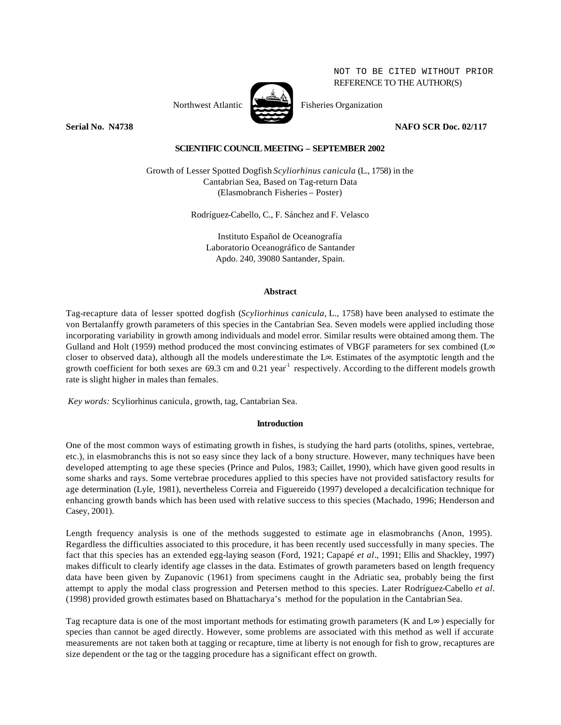NOT TO BE CITED WITHOUT PRIOR REFERENCE TO THE AUTHOR(S)



Northwest Atlantic Fisheries Organization

**Serial No. 24738** NAFO SCR Doc. 02/117

# **SCIENTIFIC COUNCIL MEETING – SEPTEMBER 2002**

Growth of Lesser Spotted Dogfish *Scyliorhinus canicula* (L., 1758) in the Cantabrian Sea, Based on Tag-return Data (Elasmobranch Fisheries – Poster)

Rodríguez-Cabello, C., F. Sánchez and F. Velasco

Instituto Español de Oceanografía Laboratorio Oceanográfico de Santander Apdo. 240, 39080 Santander, Spain.

# **Abstract**

Tag-recapture data of lesser spotted dogfish (*Scyliorhinus canicula,* L., 1758) have been analysed to estimate the von Bertalanffy growth parameters of this species in the Cantabrian Sea. Seven models were applied including those incorporating variability in growth among individuals and model error. Similar results were obtained among them. The Gulland and Holt (1959) method produced the most convincing estimates of VBGF parameters for sex combined (L∞ closer to observed data), although all the models underestimate the L∞. Estimates of the asymptotic length and the growth coefficient for both sexes are 69.3 cm and 0.21 year<sup>1</sup> respectively. According to the different models growth rate is slight higher in males than females.

*Key words:* Scyliorhinus canicula, growth, tag, Cantabrian Sea.

# **Introduction**

One of the most common ways of estimating growth in fishes, is studying the hard parts (otoliths, spines, vertebrae, etc.), in elasmobranchs this is not so easy since they lack of a bony structure. However, many techniques have been developed attempting to age these species (Prince and Pulos, 1983; Caillet, 1990), which have given good results in some sharks and rays. Some vertebrae procedures applied to this species have not provided satisfactory results for age determination (Lyle, 1981), nevertheless Correia and Figuereido (1997) developed a decalcification technique for enhancing growth bands which has been used with relative success to this species (Machado, 1996; Henderson and Casey, 2001).

Length frequency analysis is one of the methods suggested to estimate age in elasmobranchs (Anon, 1995). Regardless the difficulties associated to this procedure, it has been recently used successfully in many species. The fact that this species has an extended egg-laying season (Ford, 1921; Capapé *et al*., 1991; Ellis and Shackley, 1997) makes difficult to clearly identify age classes in the data. Estimates of growth parameters based on length frequency data have been given by Zupanovic (1961) from specimens caught in the Adriatic sea, probably being the first attempt to apply the modal class progression and Petersen method to this species. Later Rodríguez-Cabello *et al.* (1998) provided growth estimates based on Bhattacharya's method for the population in the Cantabrian Sea.

Tag recapture data is one of the most important methods for estimating growth parameters (K and  $\text{L}\infty$ ) especially for species than cannot be aged directly. However, some problems are associated with this method as well if accurate measurements are not taken both at tagging or recapture, time at liberty is not enough for fish to grow, recaptures are size dependent or the tag or the tagging procedure has a significant effect on growth.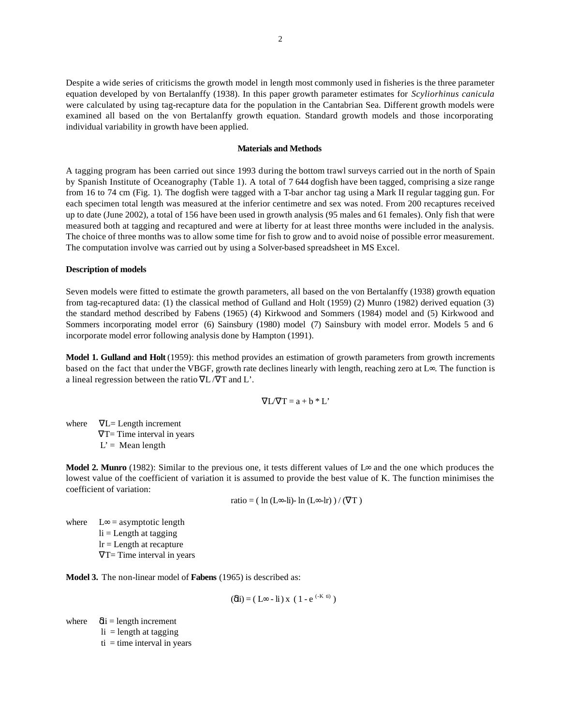Despite a wide series of criticisms the growth model in length most commonly used in fisheries is the three parameter equation developed by von Bertalanffy (1938). In this paper growth parameter estimates for *Scyliorhinus canicula* were calculated by using tag-recapture data for the population in the Cantabrian Sea. Different growth models were examined all based on the von Bertalanffy growth equation. Standard growth models and those incorporating individual variability in growth have been applied.

### **Materials and Methods**

A tagging program has been carried out since 1993 during the bottom trawl surveys carried out in the north of Spain by Spanish Institute of Oceanography (Table 1). A total of 7 644 dogfish have been tagged, comprising a size range from 16 to 74 cm (Fig. 1). The dogfish were tagged with a T-bar anchor tag using a Mark II regular tagging gun. For each specimen total length was measured at the inferior centimetre and sex was noted. From 200 recaptures received up to date (June 2002), a total of 156 have been used in growth analysis (95 males and 61 females). Only fish that were measured both at tagging and recaptured and were at liberty for at least three months were included in the analysis. The choice of three months was to allow some time for fish to grow and to avoid noise of possible error measurement. The computation involve was carried out by using a Solver-based spreadsheet in MS Excel.

### **Description of models**

Seven models were fitted to estimate the growth parameters, all based on the von Bertalanffy (1938) growth equation from tag-recaptured data: (1) the classical method of Gulland and Holt (1959) (2) Munro (1982) derived equation (3) the standard method described by Fabens (1965) (4) Kirkwood and Sommers (1984) model and (5) Kirkwood and Sommers incorporating model error (6) Sainsbury (1980) model (7) Sainsbury with model error. Models 5 and 6 incorporate model error following analysis done by Hampton (1991).

**Model 1. Gulland and Holt** (1959): this method provides an estimation of growth parameters from growth increments based on the fact that under the VBGF, growth rate declines linearly with length, reaching zero at L∞. The function is a lineal regression between the ratio ∇L /∇T and L'.

$$
\nabla L/\nabla T = a + b * L'
$$

where  $\nabla L =$  Length increment  $\nabla T$ = Time interval in years  $L' = \text{Mean length}$ 

**Model 2. Munro** (1982): Similar to the previous one, it tests different values of L∞ and the one which produces the lowest value of the coefficient of variation it is assumed to provide the best value of K. The function minimises the coefficient of variation:

ratio =  $(\ln(L\infty - Li) - \ln(L\infty - Ir)) / (\nabla T)$ 

where  $L \infty =$  asymptotic length  $li =$  Length at tagging  $lr = Length$  at recapture  $\nabla T$ = Time interval in years

**Model 3.** The non-linear model of **Fabens** (1965) is described as:

 $(\delta \text{li}) = (L \infty - \text{li}) \times (1 - e^{(-K \text{li})})$ 

where  $\delta$ i = length increment

 $li = length at tagging$ 

 $ti =$  time interval in years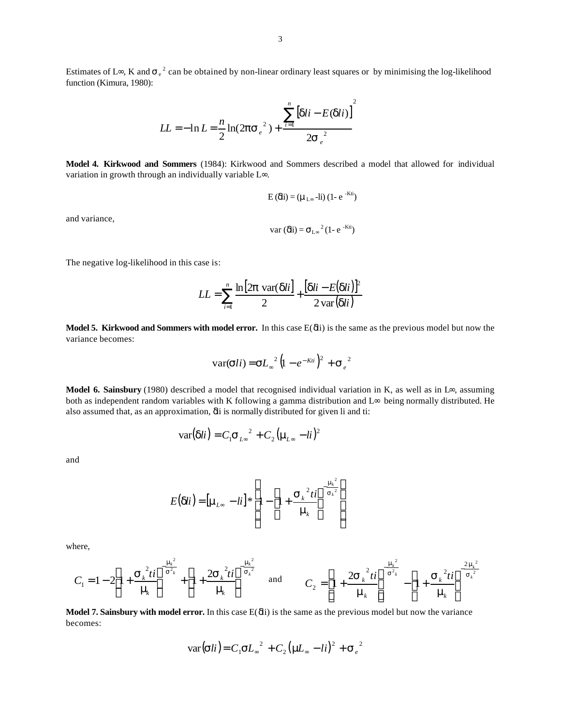Estimates of L∞, K and  $\sigma_e^2$  can be obtained by non-linear ordinary least squares or by minimising the log-likelihood function (Kimura, 1980):

$$
LL = -\ln L = \frac{n}{2}\ln(2\mathbf{ps}_e^{2}) + \frac{\sum_{i=1}^{n} [dli - E(dli)]^{2}}{2\mathbf{s}_e^{2}}
$$

**Model 4. Kirkwood and Sommers** (1984): Kirkwood and Sommers described a model that allowed for individual variation in growth through an individually variable L∞.

$$
E\left(\delta\!\!\right)i = (\mu_{L^\infty} - i i) (1 - e^{-K t i})
$$

and variance,

$$
var\left(\delta\mathbf{i}\right) = \sigma_{L^{\infty}}^2 (1 - e^{-Kt\mathbf{i}})
$$

The negative log-likelihood in this case is:

$$
LL = \sum_{i=1}^{n} \frac{\ln[2\boldsymbol{p} \text{ var}(\boldsymbol{d}li)]}{2} + \frac{[\boldsymbol{d}li - E(\boldsymbol{d}li)]^2}{2 \text{ var}(\boldsymbol{d}li)}
$$

**Model 5. Kirkwood and Sommers with model error.** In this case E(δli) is the same as the previous model but now the variance becomes:

$$
\text{var}(\boldsymbol{s}li) = \boldsymbol{s}L_{\infty}^{2}\left(l - e^{-Kli}\right)^{2} + \boldsymbol{s}_{e}^{2}
$$

**Model 6. Sainsbury** (1980) described a model that recognised individual variation in K, as well as in L∞, assuming both as independent random variables with K following a gamma distribution and L∞ being normally distributed. He also assumed that, as an approximation, δli is normally distributed for given li and ti:

$$
\text{var}(\mathbf{d}li) = C_1 \mathbf{S}_{L\infty}^2 + C_2 (\mathbf{m}_{L\infty} - li)^2
$$

and

$$
E(\mathbf{d}li) = [\mathbf{m}_{L_{\infty}} - li] * \left[1 - \left[1 + \frac{\mathbf{S}_{k}^{2} \, li}{\mathbf{m}_{k}}\right]^{-\frac{\mathbf{m}_{k}^{2}}{\mathbf{S}_{k}^{2}}}\right]
$$

where,

$$
C_1 = 1 - 2 \left[ 1 + \frac{{\bf S}_k^2 t i}{m_k} \right]^{-\frac{m_k^2}{\bf S}_k^2} + \left[ 1 + \frac{2 {\bf S}_k^2 t i}{m_k} \right]^{-\frac{m_k^2}{\bf S}_k^2} \quad \text{and} \quad C_2 = \left[ 1 + \frac{2 {\bf S}_k^2 t i}{m_k} \right]^{-\frac{m_k^2}{\bf S}_k^2} - \left[ 1 + \frac{{\bf S}_k^2 t i}{m_k} \right]^{-\frac{2m_k^2}{\bf S}_k^2}
$$

**Model 7. Sainsbury with model error.** In this case E(δli) is the same as the previous model but now the variance becomes:

$$
var(\mathbf{sl}i) = C_1 \mathbf{sl}_\infty^2 + C_2 (\mathbf{m} \mathbf{L}_\infty - li)^2 + \mathbf{S}_e^2
$$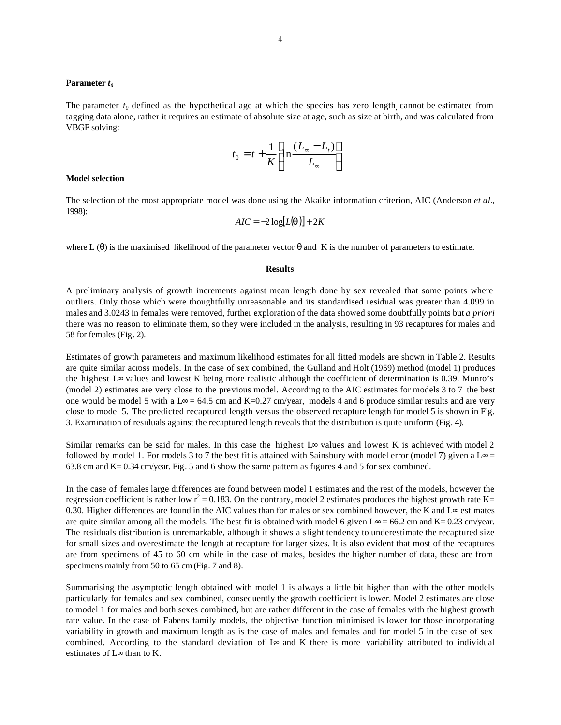## **Parameter** *t<sup>0</sup>*

The parameter  $t_0$  defined as the hypothetical age at which the species has zero length, cannot be estimated from tagging data alone, rather it requires an estimate of absolute size at age, such as size at birth, and was calculated from VBGF solving:

$$
t_0 = t + \frac{1}{K} \left[ \ln \frac{(L_{\infty} - L_t)}{L_{\infty}} \right]
$$

#### **Model selection**

The selection of the most appropriate model was done using the Akaike information criterion, AIC (Anderson *et al.*, 1998):

$$
AIC = -2\log[L(q)] + 2K
$$

where L  $(\theta)$  is the maximised likelihood of the parameter vector  $\theta$  and K is the number of parameters to estimate.

#### **Results**

A preliminary analysis of growth increments against mean length done by sex revealed that some points where outliers. Only those which were thoughtfully unreasonable and its standardised residual was greater than 4.099 in males and 3.0243 in females were removed, further exploration of the data showed some doubtfully points but *a priori*  there was no reason to eliminate them, so they were included in the analysis, resulting in 93 recaptures for males and 58 for females (Fig. 2).

Estimates of growth parameters and maximum likelihood estimates for all fitted models are shown in Table 2. Results are quite similar across models. In the case of sex combined, the Gulland and Holt (1959) method (model 1) produces the highest L∞ values and lowest K being more realistic although the coefficient of determination is 0.39. Munro's (model 2) estimates are very close to the previous model. According to the AIC estimates for models 3 to 7 the best one would be model 5 with a L∞ = 64.5 cm and K=0.27 cm/year, models 4 and 6 produce similar results and are very close to model 5. The predicted recaptured length versus the observed recapture length for model 5 is shown in Fig. 3. Examination of residuals against the recaptured length reveals that the distribution is quite uniform (Fig. 4).

Similar remarks can be said for males. In this case the highest  $L^{\infty}$  values and lowest K is achieved with model 2 followed by model 1. For models 3 to 7 the best fit is attained with Sainsbury with model error (model 7) given a L∞ = 63.8 cm and K= 0.34 cm/year. Fig. 5 and 6 show the same pattern as figures 4 and 5 for sex combined.

In the case of females large differences are found between model 1 estimates and the rest of the models, however the regression coefficient is rather low  $r^2 = 0.183$ . On the contrary, model 2 estimates produces the highest growth rate K= 0.30. Higher differences are found in the AIC values than for males or sex combined however, the K and L∞ estimates are quite similar among all the models. The best fit is obtained with model 6 given  $L \infty = 66.2$  cm and K= 0.23 cm/year. The residuals distribution is unremarkable, although it shows a slight tendency to underestimate the recaptured size for small sizes and overestimate the length at recapture for larger sizes. It is also evident that most of the recaptures are from specimens of 45 to 60 cm while in the case of males, besides the higher number of data, these are from specimens mainly from 50 to 65 cm (Fig. 7 and 8).

Summarising the asymptotic length obtained with model 1 is always a little bit higher than with the other models particularly for females and sex combined, consequently the growth coefficient is lower. Model 2 estimates are close to model 1 for males and both sexes combined, but are rather different in the case of females with the highest growth rate value. In the case of Fabens family models, the objective function minimised is lower for those incorporating variability in growth and maximum length as is the case of males and females and for model 5 in the case of sex combined. According to the standard deviation of L∞ and K there is more variability attributed to individual estimates of L∞ than to K.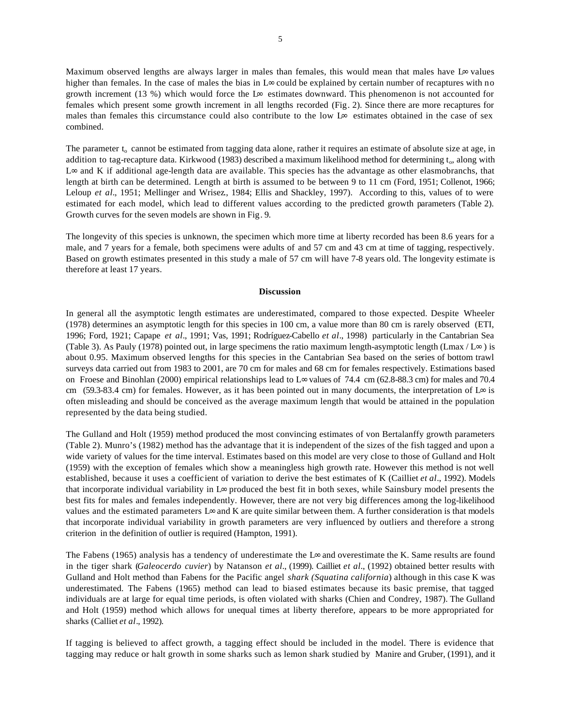Maximum observed lengths are always larger in males than females, this would mean that males have L∞ values higher than females. In the case of males the bias in L∞ could be explained by certain number of recaptures with no growth increment (13 %) which would force the L∞ estimates downward. This phenomenon is not accounted for females which present some growth increment in all lengths recorded (Fig. 2). Since there are more recaptures for males than females this circumstance could also contribute to the low L∞ estimates obtained in the case of sex combined.

The parameter  $t_0$  cannot be estimated from tagging data alone, rather it requires an estimate of absolute size at age, in addition to tag-recapture data. Kirkwood (1983) described a maximum likelihood method for determining t<sub>o</sub>, along with L∞ and K if additional age-length data are available. This species has the advantage as other elasmobranchs, that length at birth can be determined. Length at birth is assumed to be between 9 to 11 cm (Ford, 1951; Collenot, 1966; Leloup *et al.*, 1951; Mellinger and Wrisez*.*, 1984; Ellis and Shackley, 1997). According to this, values of to were estimated for each model, which lead to different values according to the predicted growth parameters (Table 2). Growth curves for the seven models are shown in Fig. 9.

The longevity of this species is unknown, the specimen which more time at liberty recorded has been 8.6 years for a male, and 7 years for a female, both specimens were adults of and 57 cm and 43 cm at time of tagging, respectively. Based on growth estimates presented in this study a male of 57 cm will have 7-8 years old. The longevity estimate is therefore at least 17 years.

### **Discussion**

In general all the asymptotic length estimates are underestimated, compared to those expected. Despite Wheeler (1978) determines an asymptotic length for this species in 100 cm, a value more than 80 cm is rarely observed (ETI, 1996; Ford, 1921; Capape *et al.*, 1991; Vas, 1991; Rodríguez-Cabello *et al*., 1998) particularly in the Cantabrian Sea (Table 3). As Pauly (1978) pointed out, in large specimens the ratio maximum length-asymptotic length (Lmax / L∞) is about 0.95. Maximum observed lengths for this species in the Cantabrian Sea based on the series of bottom trawl surveys data carried out from 1983 to 2001, are 70 cm for males and 68 cm for females respectively. Estimations based on Froese and Binohlan (2000) empirical relationships lead to L∞ values of 74.4 cm (62.8-88.3 cm) for males and 70.4 cm (59.3-83.4 cm) for females. However, as it has been pointed out in many documents, the interpretation of  $L\infty$  is often misleading and should be conceived as the average maximum length that would be attained in the population represented by the data being studied.

The Gulland and Holt (1959) method produced the most convincing estimates of von Bertalanffy growth parameters (Table 2). Munro's (1982) method has the advantage that it is independent of the sizes of the fish tagged and upon a wide variety of values for the time interval. Estimates based on this model are very close to those of Gulland and Holt (1959) with the exception of females which show a meaningless high growth rate. However this method is not well established, because it uses a coefficient of variation to derive the best estimates of K (Cailliet *et al*., 1992). Models that incorporate individual variability in L∞ produced the best fit in both sexes, while Sainsbury model presents the best fits for males and females independently. However, there are not very big differences among the log-likelihood values and the estimated parameters L∞ and K are quite similar between them. A further consideration is that models that incorporate individual variability in growth parameters are very influenced by outliers and therefore a strong criterion in the definition of outlier is required (Hampton, 1991).

The Fabens (1965) analysis has a tendency of underestimate the L∞ and overestimate the K. Same results are found in the tiger shark (*Galeocerdo cuvier*) by Natanson *et al.*, (1999). Cailliet *et al.*, (1992) obtained better results with Gulland and Holt method than Fabens for the Pacific angel *shark (Squatina california*) although in this case K was underestimated. The Fabens (1965) method can lead to biased estimates because its basic premise, that tagged individuals are at large for equal time periods, is often violated with sharks (Chien and Condrey, 1987). The Gulland and Holt (1959) method which allows for unequal times at liberty therefore, appears to be more appropriated for sharks (Calliet *et al*., 1992).

If tagging is believed to affect growth, a tagging effect should be included in the model. There is evidence that tagging may reduce or halt growth in some sharks such as lemon shark studied by Manire and Gruber, (1991), and it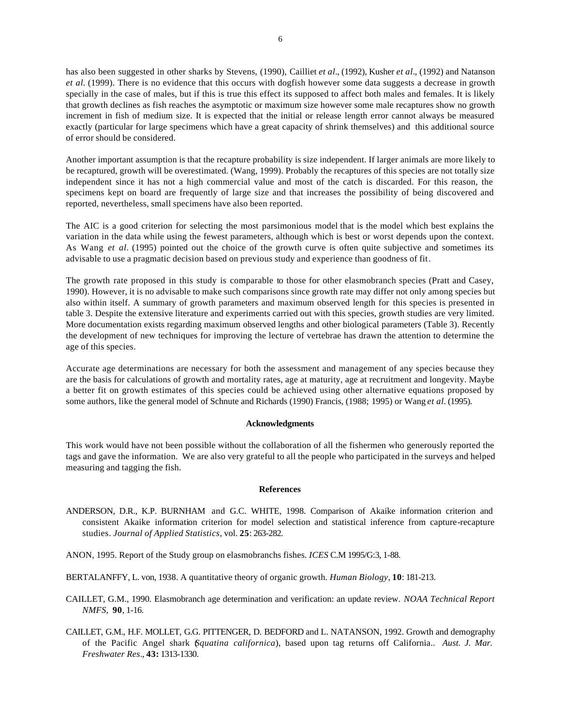has also been suggested in other sharks by Stevens, (1990), Cailliet *et al.*, (1992), Kusher *et al.*, (1992) and Natanson *et al.* (1999). There is no evidence that this occurs with dogfish however some data suggests a decrease in growth specially in the case of males, but if this is true this effect its supposed to affect both males and females. It is likely that growth declines as fish reaches the asymptotic or maximum size however some male recaptures show no growth increment in fish of medium size. It is expected that the initial or release length error cannot always be measured exactly (particular for large specimens which have a great capacity of shrink themselves) and this additional source of error should be considered.

Another important assumption is that the recapture probability is size independent. If larger animals are more likely to be recaptured, growth will be overestimated. (Wang, 1999). Probably the recaptures of this species are not totally size independent since it has not a high commercial value and most of the catch is discarded. For this reason, the specimens kept on board are frequently of large size and that increases the possibility of being discovered and reported, nevertheless, small specimens have also been reported.

The AIC is a good criterion for selecting the most parsimonious model that is the model which best explains the variation in the data while using the fewest parameters, although which is best or worst depends upon the context. As Wang *et al.* (1995) pointed out the choice of the growth curve is often quite subjective and sometimes its advisable to use a pragmatic decision based on previous study and experience than goodness of fit.

The growth rate proposed in this study is comparable to those for other elasmobranch species (Pratt and Casey, 1990). However, it is no advisable to make such comparisons since growth rate may differ not only among species but also within itself. A summary of growth parameters and maximum observed length for this species is presented in table 3. Despite the extensive literature and experiments carried out with this species, growth studies are very limited. More documentation exists regarding maximum observed lengths and other biological parameters (Table 3). Recently the development of new techniques for improving the lecture of vertebrae has drawn the attention to determine the age of this species.

Accurate age determinations are necessary for both the assessment and management of any species because they are the basis for calculations of growth and mortality rates, age at maturity, age at recruitment and longevity. Maybe a better fit on growth estimates of this species could be achieved using other alternative equations proposed by some authors, like the general model of Schnute and Richards (1990) Francis, (1988; 1995) or Wang *et al.* (1995).

### **Acknowledgments**

This work would have not been possible without the collaboration of all the fishermen who generously reported the tags and gave the information. We are also very grateful to all the people who participated in the surveys and helped measuring and tagging the fish.

## **References**

- ANDERSON, D.R., K.P. BURNHAM and G.C. WHITE, 1998. Comparison of Akaike information criterion and consistent Akaike information criterion for model selection and statistical inference from capture-recapture studies. *Journal of Applied Statistics*, vol. **25**: 263-282.
- ANON, 1995. Report of the Study group on elasmobranchs fishes. *ICES* C.M 1995/G:3, 1-88.
- BERTALANFFY, L. von, 1938. A quantitative theory of organic growth. *Human Biology*, **10**: 181-213.
- CAILLET, G.M., 1990. Elasmobranch age determination and verification: an update review. *NOAA Technical Report NMFS,* **90**, 1-16.
- CAILLET, G.M., H.F. MOLLET, G.G. PITTENGER, D. BEDFORD and L. NATANSON, 1992. Growth and demography of the Pacific Angel shark (*Squatina californica*), based upon tag returns off California.. *Aust. J. Mar. Freshwater Res*., **43:** 1313-1330.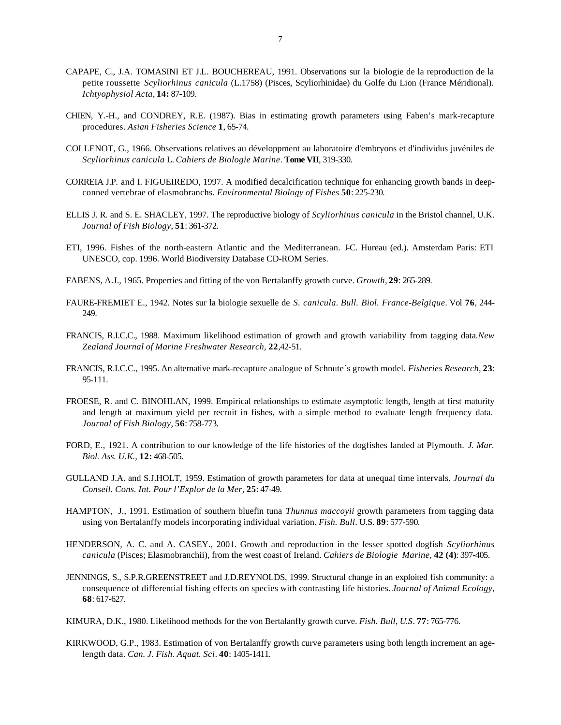- CAPAPE, C., J.A. TOMASINI ET J.L. BOUCHEREAU, 1991. Observations sur la biologie de la reproduction de la petite roussette *Scyliorhinus canicula* (L.1758) (Pisces, Scyliorhinidae) du Golfe du Lion (France Méridional). *Ichtyophysiol Acta,* **14:** 87-109.
- CHIEN, Y.-H., and CONDREY, R.E. (1987). Bias in estimating growth parameters using Faben's mark-recapture procedures. *Asian Fisheries Science* **1**, 65-74.
- COLLENOT, G., 1966. Observations relatives au développment au laboratoire d'embryons et d'individus juvéniles de *Scyliorhinus canicula* L. *Cahiers de Biologie Marine*. **Tome VII**, 319-330.
- CORREIA J.P. and I. FIGUEIREDO, 1997. A modified decalcification technique for enhancing growth bands in deepconned vertebrae of elasmobranchs. *Environmental Biology of Fishes* **50**: 225-230.
- ELLIS J. R. and S. E. SHACLEY, 1997. The reproductive biology of *Scyliorhinus canicula* in the Bristol channel, U.K. *Journal of Fish Biology*, **51**: 361-372.
- ETI, 1996. Fishes of the north-eastern Atlantic and the Mediterranean. J-C. Hureau (ed.). Amsterdam Paris: ETI UNESCO, cop. 1996. World Biodiversity Database CD-ROM Series.
- FABENS, A.J., 1965. Properties and fitting of the von Bertalanffy growth curve. *Growth,* **29**: 265-289.
- FAURE-FREMIET E., 1942. Notes sur la biologie sexuelle de *S. canicula. Bull. Biol. France-Belgique*. Vol **76**, 244- 249.
- FRANCIS, R.I.C.C., 1988. Maximum likelihood estimation of growth and growth variability from tagging data.*New Zealand Journal of Marine Freshwater Research,* **22**,42-51.
- FRANCIS, R.I.C.C., 1995. An alternative mark-recapture analogue of Schnute´s growth model. *Fisheries Research*, **23**: 95-111.
- FROESE, R. and C. BINOHLAN, 1999. Empirical relationships to estimate asymptotic length, length at first maturity and length at maximum yield per recruit in fishes, with a simple method to evaluate length frequency data. *Journal of Fish Biology*, **56**: 758-773.
- FORD, E., 1921. A contribution to our knowledge of the life histories of the dogfishes landed at Plymouth. *J. Mar. Biol. Ass. U.K.,* **12:** 468-505.
- GULLAND J.A. and S.J.HOLT, 1959. Estimation of growth parameters for data at unequal time intervals. *Journal du Conseil. Cons. Int. Pour l'Explor de la Mer,* **25**: 47-49.
- HAMPTON, J., 1991. Estimation of southern bluefin tuna *Thunnus maccoyii* growth parameters from tagging data using von Bertalanffy models incorporating individual variation. *Fish. Bull*. U.S. **89**: 577-590.
- HENDERSON, A. C. and A. CASEY., 2001. Growth and reproduction in the lesser spotted dogfish *Scyliorhinus canicula* (Pisces; Elasmobranchii), from the west coast of Ireland. *Cahiers de Biologie Marine,* **42 (4)**: 397-405.
- JENNINGS, S., S.P.R.GREENSTREET and J.D.REYNOLDS, 1999. Structural change in an exploited fish community: a consequence of differential fishing effects on species with contrasting life histories. *Journal of Animal Ecology*, **68**: 617-627.
- KIMURA, D.K., 1980. Likelihood methods for the von Bertalanffy growth curve. *Fish. Bull*, *U.S*. **77**: 765-776.
- KIRKWOOD, G.P., 1983. Estimation of von Bertalanffy growth curve parameters using both length increment an agelength data. *Can. J. Fish. Aquat. Sci*. **40**: 1405-1411.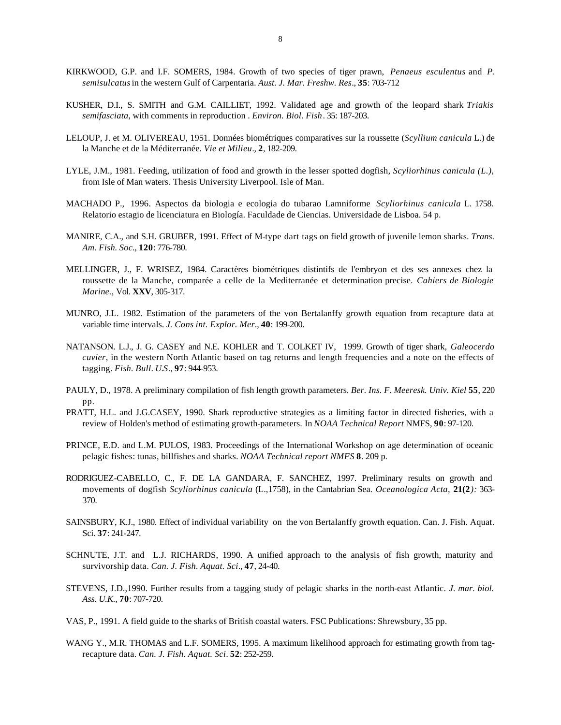- KIRKWOOD, G.P. and I.F. SOMERS, 1984. Growth of two species of tiger prawn, *Penaeus esculentus* and *P. semisulcatus* in the western Gulf of Carpentaria. *Aust. J. Mar. Freshw. Res*., **35**: 703-712
- KUSHER, D.I., S. SMITH and G.M. CAILLIET, 1992. Validated age and growth of the leopard shark *Triakis semifasciata*, with comments in reproduction . *Environ. Biol. Fish*. 35: 187-203.
- LELOUP, J. et M. OLIVEREAU, 1951. Données biométriques comparatives sur la roussette (*Scyllium canicula* L.) de la Manche et de la Méditerranée. *Vie et Milieu*., **2**, 182-209.
- LYLE, J.M., 1981. Feeding, utilization of food and growth in the lesser spotted dogfish*, Scyliorhinus canicula (L.),*  from Isle of Man waters*.* Thesis University Liverpool. Isle of Man.
- MACHADO P., 1996. Aspectos da biologia e ecologia do tubarao Lamniforme *Scyliorhinus canicula* L. 1758. Relatorio estagio de licenciatura en Biología. Faculdade de Ciencias. Universidade de Lisboa. 54 p.
- MANIRE, C.A., and S.H. GRUBER, 1991. Effect of M-type dart tags on field growth of juvenile lemon sharks. *Trans. Am. Fish. Soc*., **120**: 776-780.
- MELLINGER, J., F. WRISEZ, 1984. Caractères biométriques distintifs de l'embryon et des ses annexes chez la roussette de la Manche, comparée a celle de la Mediterranée et determination precise. *Cahiers de Biologie Marine.,* Vol. **XXV**, 305-317.
- MUNRO, J.L. 1982. Estimation of the parameters of the von Bertalanffy growth equation from recapture data at variable time intervals. *J. Cons int. Explor. Mer*., **40**: 199-200.
- NATANSON. L.J., J. G. CASEY and N.E. KOHLER and T. COLKET IV, 1999. Growth of tiger shark, *Galeocerdo cuvier*, in the western North Atlantic based on tag returns and length frequencies and a note on the effects of tagging. *Fish. Bull*. *U.S*., **97**: 944-953.
- PAULY, D., 1978. A preliminary compilation of fish length growth parameters. *Ber. Ins. F. Meeresk. Univ. Kiel* **55**, 220 pp.
- PRATT, H.L. and J.G.CASEY, 1990. Shark reproductive strategies as a limiting factor in directed fisheries, with a review of Holden's method of estimating growth-parameters. In *NOAA Technical Report* NMFS, **90**: 97-120.
- PRINCE, E.D. and L.M. PULOS, 1983. Proceedings of the International Workshop on age determination of oceanic pelagic fishes: tunas, billfishes and sharks. *NOAA Technical report NMFS* **8**. 209 p.
- RODRIGUEZ-CABELLO, C., F. DE LA GANDARA, F. SANCHEZ, 1997. Preliminary results on growth and movements of dogfish *Scyliorhinus canicula* (L.,1758), in the Cantabrian Sea. *Oceanologica Acta,* **21(2***):* 363- 370.
- SAINSBURY, K.J., 1980. Effect of individual variability on the von Bertalanffy growth equation. Can. J. Fish. Aquat. Sci. **37**: 241-247.
- SCHNUTE, J.T. and L.J. RICHARDS, 1990. A unified approach to the analysis of fish growth, maturity and survivorship data. *Can. J. Fish. Aquat. Sci*., **47**, 24-40.
- STEVENS, J.D.,1990. Further results from a tagging study of pelagic sharks in the north-east Atlantic. *J. mar. biol. Ass. U.K.,* **70**: 707-720.
- VAS, P., 1991. A field guide to the sharks of British coastal waters. FSC Publications: Shrewsbury, 35 pp.
- WANG Y., M.R. THOMAS and L.F. SOMERS, 1995. A maximum likelihood approach for estimating growth from tagrecapture data. *Can. J. Fish. Aquat. Sci*. **52**: 252-259.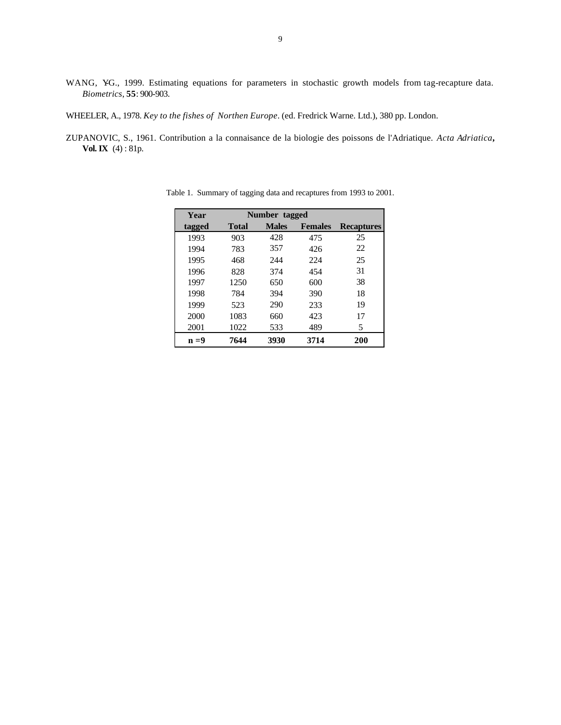- WANG, YG., 1999. Estimating equations for parameters in stochastic growth models from tag-recapture data. *Biometrics*, **55**: 900-903.
- WHEELER, A., 1978. *Key to the fishes of Northen Europe*. (ed. Fredrick Warne. Ltd.), 380 pp. London.
- ZUPANOVIC, S., 1961. Contribution a la connaisance de la biologie des poissons de l'Adriatique. *Acta Adriatica***, Vol. IX** (4) : 81p.

| Year    |       | Number tagged |                |                   |  |  |  |  |  |  |  |
|---------|-------|---------------|----------------|-------------------|--|--|--|--|--|--|--|
| tagged  | Total | <b>Males</b>  | <b>Females</b> | <b>Recaptures</b> |  |  |  |  |  |  |  |
| 1993    | 903   | 428           | 475            | 25                |  |  |  |  |  |  |  |
| 1994    | 783   | 357           | 426            | 22                |  |  |  |  |  |  |  |
| 1995    | 468   | 244           | 224            | 25                |  |  |  |  |  |  |  |
| 1996    | 828   | 374           | 454            | 31                |  |  |  |  |  |  |  |
| 1997    | 1250  | 650           | 600            | 38                |  |  |  |  |  |  |  |
| 1998    | 784   | 394           | 390            | 18                |  |  |  |  |  |  |  |
| 1999    | 523   | 290           | 233            | 19                |  |  |  |  |  |  |  |
| 2000    | 1083  | 660           | 423            | 17                |  |  |  |  |  |  |  |
| 2001    | 1022  | 533           | 489            | 5                 |  |  |  |  |  |  |  |
| $n = 9$ | 7644  | 3930          | 3714           | 200               |  |  |  |  |  |  |  |

Table 1. Summary of tagging data and recaptures from 1993 to 2001.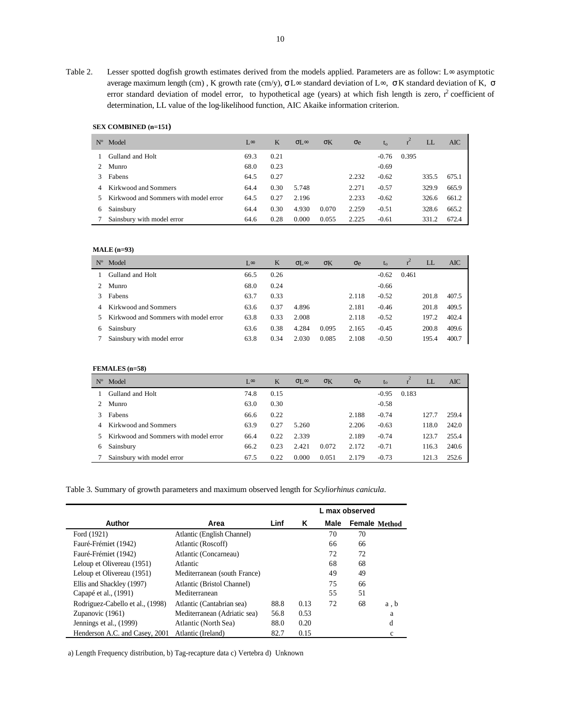Table 2. Lesser spotted dogfish growth estimates derived from the models applied. Parameters are as follow: L∞ asymptotic average maximum length (cm) , K growth rate (cm/y), σ L∞ standard deviation of L∞, σ K standard deviation of K, σ error standard deviation of model error, to hypothetical age (years) at which fish length is zero,  $r^2$  coefficient of determination, LL value of the log-likelihood function, AIC Akaike information criterion.

# **SEX COMBINED (n=151)**

| $N^{\circ}$ | Model                                 | $\sim$ | K    | $\sigma$ [ $\infty$ | $\sigma$ K | $\sigma$ e | $t_{0}$ |       | LL    | AIC   |
|-------------|---------------------------------------|--------|------|---------------------|------------|------------|---------|-------|-------|-------|
|             | Gulland and Holt                      | 69.3   | 0.21 |                     |            |            | $-0.76$ | 0.395 |       |       |
|             | Munro                                 | 68.0   | 0.23 |                     |            |            | $-0.69$ |       |       |       |
|             | Fabens                                | 64.5   | 0.27 |                     |            | 2.232      | $-0.62$ |       | 335.5 | 675.1 |
| 4           | Kirkwood and Sommers                  | 64.4   | 0.30 | 5.748               |            | 2.271      | $-0.57$ |       | 329.9 | 665.9 |
| 5.          | Kirkwood and Sommers with model error | 64.5   | 0.27 | 2.196               |            | 2.233      | $-0.62$ |       | 326.6 | 661.2 |
| 6           | Sainsbury                             | 64.4   | 0.30 | 4.930               | 0.070      | 2.259      | $-0.51$ |       | 328.6 | 665.2 |
|             | Sainsbury with model error            | 64.6   | 0.28 | 0.000               | 0.055      | 2.225      | $-0.61$ |       | 331.2 | 672.4 |

### **MALE (n=93)**

| $N^{\rm o}$ | Model                                 | ⊺.∞  | K    | $\sigma$ [ $\infty$ | $\sigma$ K | $\sigma$ e | $t_{0}$ |       | LL    | AIC   |
|-------------|---------------------------------------|------|------|---------------------|------------|------------|---------|-------|-------|-------|
|             | Gulland and Holt                      | 66.5 | 0.26 |                     |            |            | $-0.62$ | 0.461 |       |       |
|             | Munro                                 | 68.0 | 0.24 |                     |            |            | $-0.66$ |       |       |       |
|             | Fabens                                | 63.7 | 0.33 |                     |            | 2.118      | $-0.52$ |       | 201.8 | 407.5 |
|             | Kirkwood and Sommers                  | 63.6 | 0.37 | 4.896               |            | 2.181      | $-0.46$ |       | 201.8 | 409.5 |
|             | Kirkwood and Sommers with model error | 63.8 | 0.33 | 2.008               |            | 2.118      | $-0.52$ |       | 197.2 | 402.4 |
| 6           | Sainsbury                             | 63.6 | 0.38 | 4.284               | 0.095      | 2.165      | $-0.45$ |       | 200.8 | 409.6 |
|             | Sainsbury with model error            | 63.8 | 0.34 | 2.030               | 0.085      | 2.108      | $-0.50$ |       | 195.4 | 400.7 |

# **FEMALES (n=58)**

| $N^{\rm o}$ | Model                                 | $\sim$ | K    | $\sigma$ [ $\infty$ | $\sigma$ K | $\sigma$ e | to      |       | LL.   | AIC   |
|-------------|---------------------------------------|--------|------|---------------------|------------|------------|---------|-------|-------|-------|
|             | Gulland and Holt                      | 74.8   | 0.15 |                     |            |            | $-0.95$ | 0.183 |       |       |
| 2.          | Munro                                 | 63.0   | 0.30 |                     |            |            | $-0.58$ |       |       |       |
|             | Fabens                                | 66.6   | 0.22 |                     |            | 2.188      | $-0.74$ |       | 127   | 259.4 |
| 4           | Kirkwood and Sommers                  | 63.9   | 0.27 | 5.260               |            | 2.206      | $-0.63$ |       | 118.0 | 242.0 |
| 5.          | Kirkwood and Sommers with model error | 66.4   | 0.22 | 2.339               |            | 2.189      | $-0.74$ |       | 123.7 | 255.4 |
| 6           | Sainsbury                             | 66.2   | 0.23 | 2.421               | 0.072      | 2.172      | $-0.71$ |       | 116.3 | 240.6 |
|             | Sainsbury with model error            | 67.5   | 0.22 | 0.000               | 0.051      | 2.179      | $-0.73$ |       | 121.3 | 252.6 |

Table 3. Summary of growth parameters and maximum observed length for *Scyliorhinus canicula*.

|                                  |                              | L max observed |      |      |               |      |  |
|----------------------------------|------------------------------|----------------|------|------|---------------|------|--|
| Author                           | Area                         | Linf           | Κ    | Male | Female Method |      |  |
| Ford (1921)                      | Atlantic (English Channel)   |                |      | 70   | 70            |      |  |
| Fauré-Frémiet (1942)             | Atlantic (Roscoff)           |                |      | 66   | 66            |      |  |
| Fauré-Frémiet (1942)             | Atlantic (Concarneau)        |                |      | 72   | 72            |      |  |
| Leloup et Olivereau (1951)       | Atlantic                     |                |      | 68   | 68            |      |  |
| Leloup et Olivereau (1951)       | Mediterranean (south France) |                |      | 49   | 49            |      |  |
| Ellis and Shackley (1997)        | Atlantic (Bristol Channel)   |                |      | 75   | 66            |      |  |
| Capapé et al., (1991)            | Mediterranean                |                |      | 55   | 51            |      |  |
| Rodriguez-Cabello et al., (1998) | Atlantic (Cantabrian sea)    | 88.8           | 0.13 | 72   | 68            | a, b |  |
| Zupanovic (1961)                 | Mediterranean (Adriatic sea) | 56.8           | 0.53 |      |               | a    |  |
| Jennings et al., (1999)          | Atlantic (North Sea)         | 88.0           | 0.20 |      |               | d    |  |
| Henderson A.C. and Casey, 2001   | Atlantic (Ireland)           | 82.7           | 0.15 |      |               | c    |  |

a) Length Frequency distribution, b) Tag-recapture data c) Vertebra d) Unknown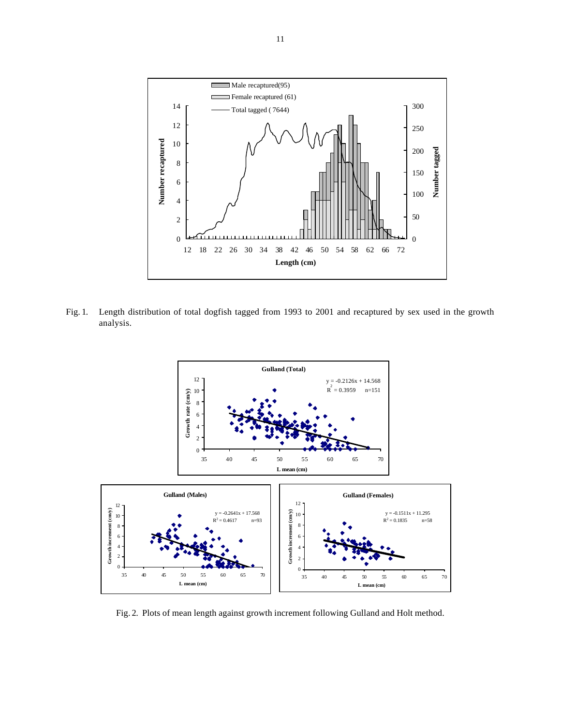

Fig. 1. Length distribution of total dogfish tagged from 1993 to 2001 and recaptured by sex used in the growth analysis.



Fig. 2. Plots of mean length against growth increment following Gulland and Holt method.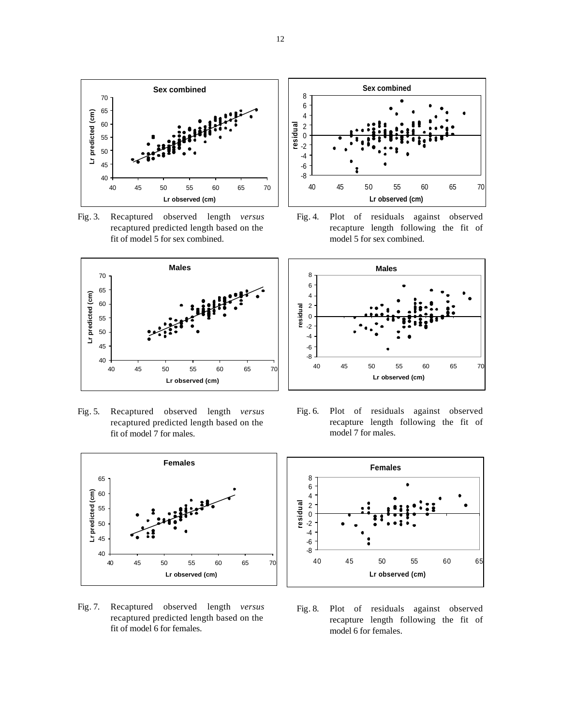

Fig. 3. Recaptured observed length *versus* recaptured predicted length based on the fit of model 5 for sex combined.



Fig. 5. Recaptured observed length *versus* recaptured predicted length based on the fit of model 7 for males.



Fig. 7. Recaptured observed length *versus* recaptured predicted length based on the fit of model 6 for females.



Fig. 4. Plot of residuals against observed recapture length following the fit of model 5 for sex combined.



Fig. 6. Plot of residuals against observed recapture length following the fit of model 7 for males.



Fig. 8. Plot of residuals against observed recapture length following the fit of model 6 for females.